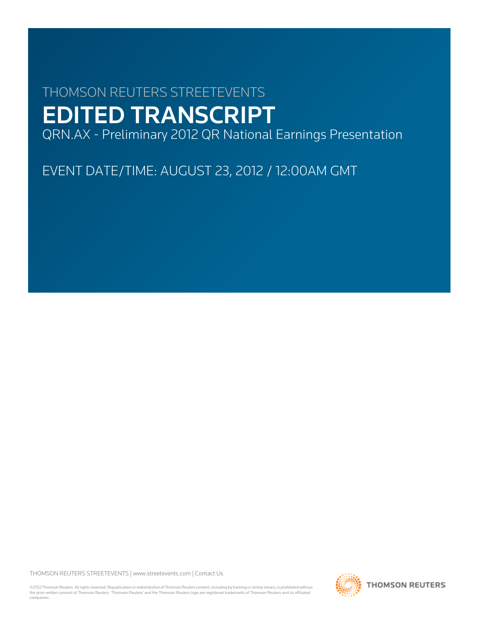# THOMSON REUTERS STREETEVENTS EDITED TRANSCRIPT

QRN.AX - Preliminary 2012 QR National Earnings Presentation

EVENT DATE/TIME: AUGUST 23, 2012 / 12:00AM GMT

THOMSON REUTERS STREETEVENTS | [www.streetevents.com](http://www.streetevents.com) | [Contact Us](http://www010.streetevents.com/contact.asp)

©2012 Thomson Reuters. All rights reserved. Republication or redistribution of Thomson Reuters content, including by framing or similar means, is prohibited without the prior written consent of Thomson Reuters. 'Thomson Reuters' and the Thomson Reuters logo are registered trademarks of Thomson Reuters and its affiliated companies.

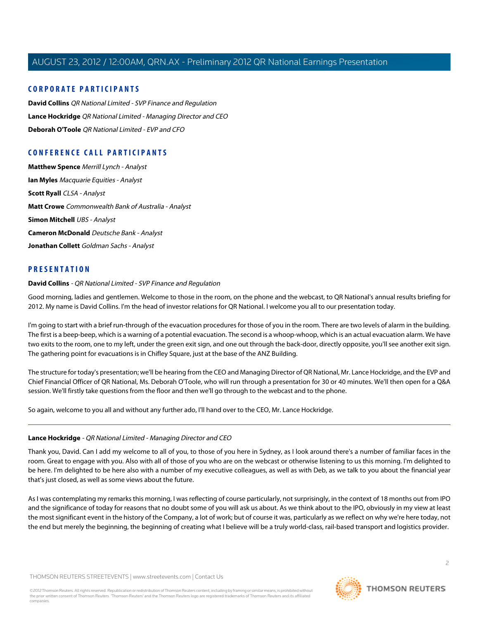# **CORPORATE PARTICIPANTS**

**[David Collins](#page-1-0)** QR National Limited - SVP Finance and Regulation **[Lance Hockridge](#page-1-1)** QR National Limited - Managing Director and CEO **[Deborah O'Toole](#page-3-0)** QR National Limited - EVP and CFO

# **CONFERENCE CALL PARTICIPANTS**

**[Matthew Spence](#page-8-0)** Merrill Lynch - Analyst **[Ian Myles](#page-9-0)** Macquarie Equities - Analyst **[Scott Ryall](#page-10-0)** CLSA - Analyst **[Matt Crowe](#page-13-0)** Commonwealth Bank of Australia - Analyst **[Simon Mitchell](#page-14-0)** UBS - Analyst **[Cameron McDonald](#page-16-0)** Deutsche Bank - Analyst **[Jonathan Collett](#page-16-1)** Goldman Sachs - Analyst

# <span id="page-1-0"></span>**PRESENTATION**

#### **David Collins** - QR National Limited - SVP Finance and Regulation

Good morning, ladies and gentlemen. Welcome to those in the room, on the phone and the webcast, to QR National's annual results briefing for 2012. My name is David Collins. I'm the head of investor relations for QR National. I welcome you all to our presentation today.

I'm going to start with a brief run-through of the evacuation procedures for those of you in the room. There are two levels of alarm in the building. The first is a beep-beep, which is a warning of a potential evacuation. The second is a whoop-whoop, which is an actual evacuation alarm. We have two exits to the room, one to my left, under the green exit sign, and one out through the back-door, directly opposite, you'll see another exit sign. The gathering point for evacuations is in Chifley Square, just at the base of the ANZ Building.

The structure for today's presentation; we'll be hearing from the CEO and Managing Director of QR National, Mr. Lance Hockridge, and the EVP and Chief Financial Officer of QR National, Ms. Deborah O'Toole, who will run through a presentation for 30 or 40 minutes. We'll then open for a Q&A session. We'll firstly take questions from the floor and then we'll go through to the webcast and to the phone.

<span id="page-1-1"></span>So again, welcome to you all and without any further ado, I'll hand over to the CEO, Mr. Lance Hockridge.

# **Lance Hockridge** - QR National Limited - Managing Director and CEO

Thank you, David. Can I add my welcome to all of you, to those of you here in Sydney, as I look around there's a number of familiar faces in the room. Great to engage with you. Also with all of those of you who are on the webcast or otherwise listening to us this morning. I'm delighted to be here. I'm delighted to be here also with a number of my executive colleagues, as well as with Deb, as we talk to you about the financial year that's just closed, as well as some views about the future.

As I was contemplating my remarks this morning, I was reflecting of course particularly, not surprisingly, in the context of 18 months out from IPO and the significance of today for reasons that no doubt some of you will ask us about. As we think about to the IPO, obviously in my view at least the most significant event in the history of the Company, a lot of work; but of course it was, particularly as we reflect on why we're here today, not the end but merely the beginning, the beginning of creating what I believe will be a truly world-class, rail-based transport and logistics provider.

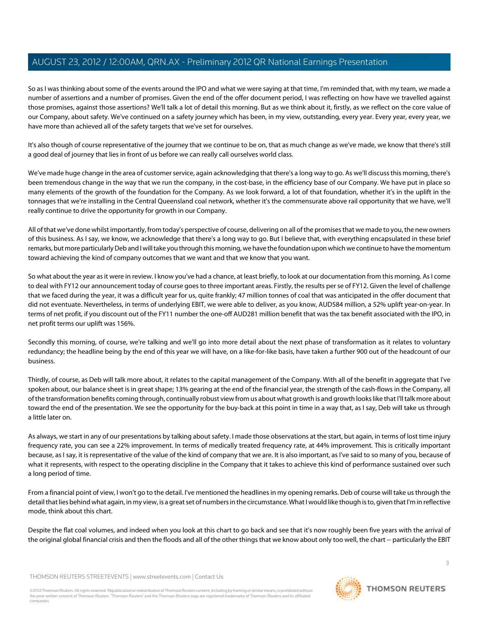So as I was thinking about some of the events around the IPO and what we were saying at that time, I'm reminded that, with my team, we made a number of assertions and a number of promises. Given the end of the offer document period, I was reflecting on how have we travelled against those promises, against those assertions? We'll talk a lot of detail this morning. But as we think about it, firstly, as we reflect on the core value of our Company, about safety. We've continued on a safety journey which has been, in my view, outstanding, every year. Every year, every year, we have more than achieved all of the safety targets that we've set for ourselves.

It's also though of course representative of the journey that we continue to be on, that as much change as we've made, we know that there's still a good deal of journey that lies in front of us before we can really call ourselves world class.

We've made huge change in the area of customer service, again acknowledging that there's a long way to go. As we'll discuss this morning, there's been tremendous change in the way that we run the company, in the cost-base, in the efficiency base of our Company. We have put in place so many elements of the growth of the foundation for the Company. As we look forward, a lot of that foundation, whether it's in the uplift in the tonnages that we're installing in the Central Queensland coal network, whether it's the commensurate above rail opportunity that we have, we'll really continue to drive the opportunity for growth in our Company.

All of that we've done whilst importantly, from today's perspective of course, delivering on all of the promises that we made to you, the new owners of this business. As I say, we know, we acknowledge that there's a long way to go. But I believe that, with everything encapsulated in these brief remarks, but more particularly Deb and I will take you through this morning, we have the foundation upon which we continue to have the momentum toward achieving the kind of company outcomes that we want and that we know that you want.

So what about the year as it were in review. I know you've had a chance, at least briefly, to look at our documentation from this morning. As I come to deal with FY12 our announcement today of course goes to three important areas. Firstly, the results per se of FY12. Given the level of challenge that we faced during the year, it was a difficult year for us, quite frankly; 47 million tonnes of coal that was anticipated in the offer document that did not eventuate. Nevertheless, in terms of underlying EBIT, we were able to deliver, as you know, AUD584 million, a 52% uplift year-on-year. In terms of net profit, if you discount out of the FY11 number the one-off AUD281 million benefit that was the tax benefit associated with the IPO, in net profit terms our uplift was 156%.

Secondly this morning, of course, we're talking and we'll go into more detail about the next phase of transformation as it relates to voluntary redundancy; the headline being by the end of this year we will have, on a like-for-like basis, have taken a further 900 out of the headcount of our business.

Thirdly, of course, as Deb will talk more about, it relates to the capital management of the Company. With all of the benefit in aggregate that I've spoken about, our balance sheet is in great shape; 13% gearing at the end of the financial year, the strength of the cash-flows in the Company, all of the transformation benefits coming through, continually robust view from us about what growth is and growth looks like that I'll talk more about toward the end of the presentation. We see the opportunity for the buy-back at this point in time in a way that, as I say, Deb will take us through a little later on.

As always, we start in any of our presentations by talking about safety. I made those observations at the start, but again, in terms of lost time injury frequency rate, you can see a 22% improvement. In terms of medically treated frequency rate, at 44% improvement. This is critically important because, as I say, it is representative of the value of the kind of company that we are. It is also important, as I've said to so many of you, because of what it represents, with respect to the operating discipline in the Company that it takes to achieve this kind of performance sustained over such a long period of time.

From a financial point of view, I won't go to the detail. I've mentioned the headlines in my opening remarks. Deb of course will take us through the detail that lies behind what again, in my view, is a great set of numbers in the circumstance. What I would like though is to, given that I'm in reflective mode, think about this chart.

Despite the flat coal volumes, and indeed when you look at this chart to go back and see that it's now roughly been five years with the arrival of the original global financial crisis and then the floods and all of the other things that we know about only too well, the chart -- particularly the EBIT

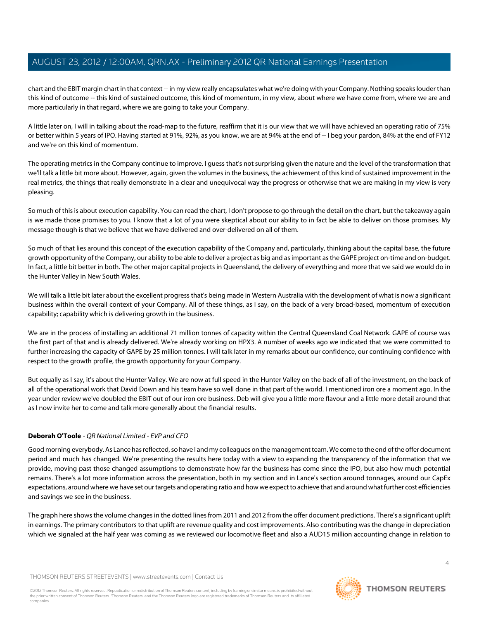chart and the EBIT margin chart in that context -- in my view really encapsulates what we're doing with your Company. Nothing speaks louder than this kind of outcome -- this kind of sustained outcome, this kind of momentum, in my view, about where we have come from, where we are and more particularly in that regard, where we are going to take your Company.

A little later on, I will in talking about the road-map to the future, reaffirm that it is our view that we will have achieved an operating ratio of 75% or better within 5 years of IPO. Having started at 91%, 92%, as you know, we are at 94% at the end of -- I beg your pardon, 84% at the end of FY12 and we're on this kind of momentum.

The operating metrics in the Company continue to improve. I guess that's not surprising given the nature and the level of the transformation that we'll talk a little bit more about. However, again, given the volumes in the business, the achievement of this kind of sustained improvement in the real metrics, the things that really demonstrate in a clear and unequivocal way the progress or otherwise that we are making in my view is very pleasing.

So much of this is about execution capability. You can read the chart, I don't propose to go through the detail on the chart, but the takeaway again is we made those promises to you. I know that a lot of you were skeptical about our ability to in fact be able to deliver on those promises. My message though is that we believe that we have delivered and over-delivered on all of them.

So much of that lies around this concept of the execution capability of the Company and, particularly, thinking about the capital base, the future growth opportunity of the Company, our ability to be able to deliver a project as big and as important as the GAPE project on-time and on-budget. In fact, a little bit better in both. The other major capital projects in Queensland, the delivery of everything and more that we said we would do in the Hunter Valley in New South Wales.

We will talk a little bit later about the excellent progress that's being made in Western Australia with the development of what is now a significant business within the overall context of your Company. All of these things, as I say, on the back of a very broad-based, momentum of execution capability; capability which is delivering growth in the business.

We are in the process of installing an additional 71 million tonnes of capacity within the Central Queensland Coal Network. GAPE of course was the first part of that and is already delivered. We're already working on HPX3. A number of weeks ago we indicated that we were committed to further increasing the capacity of GAPE by 25 million tonnes. I will talk later in my remarks about our confidence, our continuing confidence with respect to the growth profile, the growth opportunity for your Company.

<span id="page-3-0"></span>But equally as I say, it's about the Hunter Valley. We are now at full speed in the Hunter Valley on the back of all of the investment, on the back of all of the operational work that David Down and his team have so well done in that part of the world. I mentioned iron ore a moment ago. In the year under review we've doubled the EBIT out of our iron ore business. Deb will give you a little more flavour and a little more detail around that as I now invite her to come and talk more generally about the financial results.

# **Deborah O'Toole** - QR National Limited - EVP and CFO

Good morning everybody. As Lance has reflected, so have I and my colleagues on the management team. We come to the end of the offer document period and much has changed. We're presenting the results here today with a view to expanding the transparency of the information that we provide, moving past those changed assumptions to demonstrate how far the business has come since the IPO, but also how much potential remains. There's a lot more information across the presentation, both in my section and in Lance's section around tonnages, around our CapEx expectations, around where we have set our targets and operating ratio and how we expect to achieve that and around what further cost efficiencies and savings we see in the business.

The graph here shows the volume changes in the dotted lines from 2011 and 2012 from the offer document predictions. There's a significant uplift in earnings. The primary contributors to that uplift are revenue quality and cost improvements. Also contributing was the change in depreciation which we signaled at the half year was coming as we reviewed our locomotive fleet and also a AUD15 million accounting change in relation to

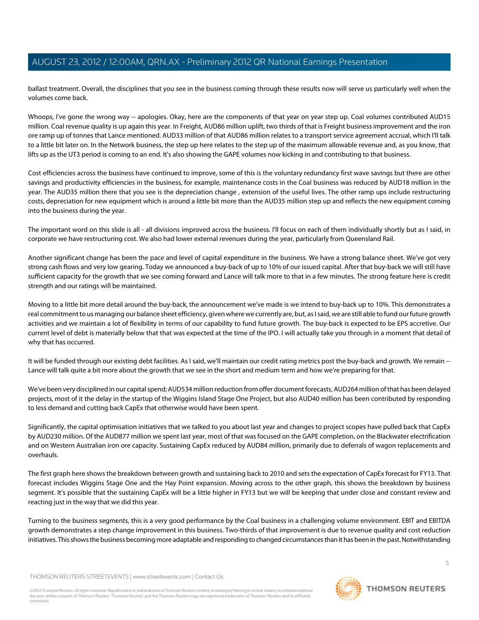ballast treatment. Overall, the disciplines that you see in the business coming through these results now will serve us particularly well when the volumes come back.

Whoops, I've gone the wrong way -- apologies. Okay, here are the components of that year on year step up. Coal volumes contributed AUD15 million. Coal revenue quality is up again this year. In Freight, AUD86 million uplift, two thirds of that is Freight business improvement and the iron ore ramp up of tonnes that Lance mentioned. AUD33 million of that AUD86 million relates to a transport service agreement accrual, which I'll talk to a little bit later on. In the Network business, the step up here relates to the step up of the maximum allowable revenue and, as you know, that lifts up as the UT3 period is coming to an end. It's also showing the GAPE volumes now kicking in and contributing to that business.

Cost efficiencies across the business have continued to improve, some of this is the voluntary redundancy first wave savings but there are other savings and productivity efficiencies in the business, for example, maintenance costs in the Coal business was reduced by AUD18 million in the year. The AUD35 million there that you see is the depreciation change , extension of the useful lives. The other ramp ups include restructuring costs, depreciation for new equipment which is around a little bit more than the AUD35 million step up and reflects the new equipment coming into the business during the year.

The important word on this slide is all - all divisions improved across the business. I'll focus on each of them individually shortly but as I said, in corporate we have restructuring cost. We also had lower external revenues during the year, particularly from Queensland Rail.

Another significant change has been the pace and level of capital expenditure in the business. We have a strong balance sheet. We've got very strong cash flows and very low gearing. Today we announced a buy-back of up to 10% of our issued capital. After that buy-back we will still have sufficient capacity for the growth that we see coming forward and Lance will talk more to that in a few minutes. The strong feature here is credit strength and our ratings will be maintained.

Moving to a little bit more detail around the buy-back, the announcement we've made is we intend to buy-back up to 10%. This demonstrates a real commitment to us managing our balance sheet efficiency, given where we currently are, but, as I said, we are still able to fund our future growth activities and we maintain a lot of flexibility in terms of our capability to fund future growth. The buy-back is expected to be EPS accretive. Our current level of debt is materially below that that was expected at the time of the IPO. I will actually take you through in a moment that detail of why that has occurred.

It will be funded through our existing debt facilities. As I said, we'll maintain our credit rating metrics post the buy-back and growth. We remain --Lance will talk quite a bit more about the growth that we see in the short and medium term and how we're preparing for that.

We've been very disciplined in our capital spend; AUD534 million reduction from offer document forecasts, AUD264 million of that has been delayed projects, most of it the delay in the startup of the Wiggins Island Stage One Project, but also AUD40 million has been contributed by responding to less demand and cutting back CapEx that otherwise would have been spent.

Significantly, the capital optimisation initiatives that we talked to you about last year and changes to project scopes have pulled back that CapEx by AUD230 million. Of the AUD877 million we spent last year, most of that was focused on the GAPE completion, on the Blackwater electrification and on Western Australian iron ore capacity. Sustaining CapEx reduced by AUD84 million, primarily due to deferrals of wagon replacements and overhauls.

The first graph here shows the breakdown between growth and sustaining back to 2010 and sets the expectation of CapEx forecast for FY13. That forecast includes Wiggins Stage One and the Hay Point expansion. Moving across to the other graph, this shows the breakdown by business segment. It's possible that the sustaining CapEx will be a little higher in FY13 but we will be keeping that under close and constant review and reacting just in the way that we did this year.

Turning to the business segments, this is a very good performance by the Coal business in a challenging volume environment. EBIT and EBITDA growth demonstrates a step change improvement in this business. Two-thirds of that improvement is due to revenue quality and cost reduction initiatives. This shows the business becoming more adaptable and responding to changed circumstances than it has been in the past. Notwithstanding

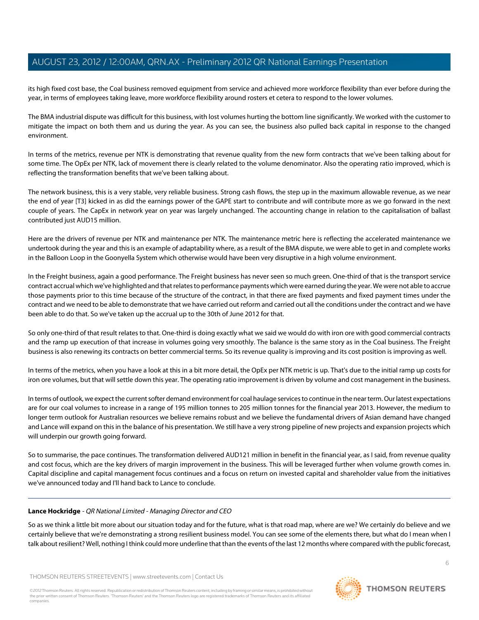its high fixed cost base, the Coal business removed equipment from service and achieved more workforce flexibility than ever before during the year, in terms of employees taking leave, more workforce flexibility around rosters et cetera to respond to the lower volumes.

The BMA industrial dispute was difficult for this business, with lost volumes hurting the bottom line significantly. We worked with the customer to mitigate the impact on both them and us during the year. As you can see, the business also pulled back capital in response to the changed environment.

In terms of the metrics, revenue per NTK is demonstrating that revenue quality from the new form contracts that we've been talking about for some time. The OpEx per NTK, lack of movement there is clearly related to the volume denominator. Also the operating ratio improved, which is reflecting the transformation benefits that we've been talking about.

The network business, this is a very stable, very reliable business. Strong cash flows, the step up in the maximum allowable revenue, as we near the end of year [T3] kicked in as did the earnings power of the GAPE start to contribute and will contribute more as we go forward in the next couple of years. The CapEx in network year on year was largely unchanged. The accounting change in relation to the capitalisation of ballast contributed just AUD15 million.

Here are the drivers of revenue per NTK and maintenance per NTK. The maintenance metric here is reflecting the accelerated maintenance we undertook during the year and this is an example of adaptability where, as a result of the BMA dispute, we were able to get in and complete works in the Balloon Loop in the Goonyella System which otherwise would have been very disruptive in a high volume environment.

In the Freight business, again a good performance. The Freight business has never seen so much green. One-third of that is the transport service contract accrual which we've highlighted and that relates to performance payments which were earned during the year. We were not able to accrue those payments prior to this time because of the structure of the contract, in that there are fixed payments and fixed payment times under the contract and we need to be able to demonstrate that we have carried out reform and carried out all the conditions under the contract and we have been able to do that. So we've taken up the accrual up to the 30th of June 2012 for that.

So only one-third of that result relates to that. One-third is doing exactly what we said we would do with iron ore with good commercial contracts and the ramp up execution of that increase in volumes going very smoothly. The balance is the same story as in the Coal business. The Freight business is also renewing its contracts on better commercial terms. So its revenue quality is improving and its cost position is improving as well.

In terms of the metrics, when you have a look at this in a bit more detail, the OpEx per NTK metric is up. That's due to the initial ramp up costs for iron ore volumes, but that will settle down this year. The operating ratio improvement is driven by volume and cost management in the business.

In terms of outlook, we expect the current softer demand environment for coal haulage services to continue in the near term. Our latest expectations are for our coal volumes to increase in a range of 195 million tonnes to 205 million tonnes for the financial year 2013. However, the medium to longer term outlook for Australian resources we believe remains robust and we believe the fundamental drivers of Asian demand have changed and Lance will expand on this in the balance of his presentation. We still have a very strong pipeline of new projects and expansion projects which will underpin our growth going forward.

So to summarise, the pace continues. The transformation delivered AUD121 million in benefit in the financial year, as I said, from revenue quality and cost focus, which are the key drivers of margin improvement in the business. This will be leveraged further when volume growth comes in. Capital discipline and capital management focus continues and a focus on return on invested capital and shareholder value from the initiatives we've announced today and I'll hand back to Lance to conclude.

# **Lance Hockridge** - QR National Limited - Managing Director and CEO

So as we think a little bit more about our situation today and for the future, what is that road map, where are we? We certainly do believe and we certainly believe that we're demonstrating a strong resilient business model. You can see some of the elements there, but what do I mean when I talk about resilient? Well, nothing I think could more underline that than the events of the last 12 months where compared with the public forecast,

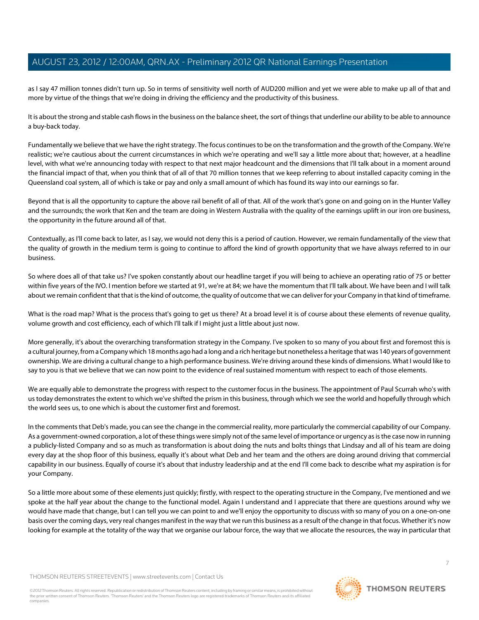as I say 47 million tonnes didn't turn up. So in terms of sensitivity well north of AUD200 million and yet we were able to make up all of that and more by virtue of the things that we're doing in driving the efficiency and the productivity of this business.

It is about the strong and stable cash flows in the business on the balance sheet, the sort of things that underline our ability to be able to announce a buy-back today.

Fundamentally we believe that we have the right strategy. The focus continues to be on the transformation and the growth of the Company. We're realistic; we're cautious about the current circumstances in which we're operating and we'll say a little more about that; however, at a headline level, with what we're announcing today with respect to that next major headcount and the dimensions that I'll talk about in a moment around the financial impact of that, when you think that of all of that 70 million tonnes that we keep referring to about installed capacity coming in the Queensland coal system, all of which is take or pay and only a small amount of which has found its way into our earnings so far.

Beyond that is all the opportunity to capture the above rail benefit of all of that. All of the work that's gone on and going on in the Hunter Valley and the surrounds; the work that Ken and the team are doing in Western Australia with the quality of the earnings uplift in our iron ore business, the opportunity in the future around all of that.

Contextually, as I'll come back to later, as I say, we would not deny this is a period of caution. However, we remain fundamentally of the view that the quality of growth in the medium term is going to continue to afford the kind of growth opportunity that we have always referred to in our business.

So where does all of that take us? I've spoken constantly about our headline target if you will being to achieve an operating ratio of 75 or better within five years of the IVO. I mention before we started at 91, we're at 84; we have the momentum that I'll talk about. We have been and I will talk about we remain confident that that is the kind of outcome, the quality of outcome that we can deliver for your Company in that kind of timeframe.

What is the road map? What is the process that's going to get us there? At a broad level it is of course about these elements of revenue quality, volume growth and cost efficiency, each of which I'll talk if I might just a little about just now.

More generally, it's about the overarching transformation strategy in the Company. I've spoken to so many of you about first and foremost this is a cultural journey, from a Company which 18 months ago had a long and a rich heritage but nonetheless a heritage that was 140 years of government ownership. We are driving a cultural change to a high performance business. We're driving around these kinds of dimensions. What I would like to say to you is that we believe that we can now point to the evidence of real sustained momentum with respect to each of those elements.

We are equally able to demonstrate the progress with respect to the customer focus in the business. The appointment of Paul Scurrah who's with us today demonstrates the extent to which we've shifted the prism in this business, through which we see the world and hopefully through which the world sees us, to one which is about the customer first and foremost.

In the comments that Deb's made, you can see the change in the commercial reality, more particularly the commercial capability of our Company. As a government-owned corporation, a lot of these things were simply not of the same level of importance or urgency as is the case now in running a publicly-listed Company and so as much as transformation is about doing the nuts and bolts things that Lindsay and all of his team are doing every day at the shop floor of this business, equally it's about what Deb and her team and the others are doing around driving that commercial capability in our business. Equally of course it's about that industry leadership and at the end I'll come back to describe what my aspiration is for your Company.

So a little more about some of these elements just quickly; firstly, with respect to the operating structure in the Company, I've mentioned and we spoke at the half year about the change to the functional model. Again I understand and I appreciate that there are questions around why we would have made that change, but I can tell you we can point to and we'll enjoy the opportunity to discuss with so many of you on a one-on-one basis over the coming days, very real changes manifest in the way that we run this business as a result of the change in that focus. Whether it's now looking for example at the totality of the way that we organise our labour force, the way that we allocate the resources, the way in particular that

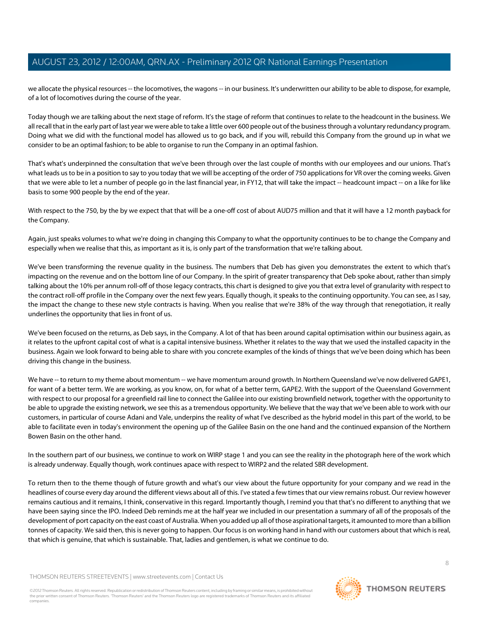we allocate the physical resources -- the locomotives, the wagons -- in our business. It's underwritten our ability to be able to dispose, for example, of a lot of locomotives during the course of the year.

Today though we are talking about the next stage of reform. It's the stage of reform that continues to relate to the headcount in the business. We all recall that in the early part of last year we were able to take a little over 600 people out of the business through a voluntary redundancy program. Doing what we did with the functional model has allowed us to go back, and if you will, rebuild this Company from the ground up in what we consider to be an optimal fashion; to be able to organise to run the Company in an optimal fashion.

That's what's underpinned the consultation that we've been through over the last couple of months with our employees and our unions. That's what leads us to be in a position to say to you today that we will be accepting of the order of 750 applications for VR over the coming weeks. Given that we were able to let a number of people go in the last financial year, in FY12, that will take the impact -- headcount impact -- on a like for like basis to some 900 people by the end of the year.

With respect to the 750, by the by we expect that that will be a one-off cost of about AUD75 million and that it will have a 12 month payback for the Company.

Again, just speaks volumes to what we're doing in changing this Company to what the opportunity continues to be to change the Company and especially when we realise that this, as important as it is, is only part of the transformation that we're talking about.

We've been transforming the revenue quality in the business. The numbers that Deb has given you demonstrates the extent to which that's impacting on the revenue and on the bottom line of our Company. In the spirit of greater transparency that Deb spoke about, rather than simply talking about the 10% per annum roll-off of those legacy contracts, this chart is designed to give you that extra level of granularity with respect to the contract roll-off profile in the Company over the next few years. Equally though, it speaks to the continuing opportunity. You can see, as I say, the impact the change to these new style contracts is having. When you realise that we're 38% of the way through that renegotiation, it really underlines the opportunity that lies in front of us.

We've been focused on the returns, as Deb says, in the Company. A lot of that has been around capital optimisation within our business again, as it relates to the upfront capital cost of what is a capital intensive business. Whether it relates to the way that we used the installed capacity in the business. Again we look forward to being able to share with you concrete examples of the kinds of things that we've been doing which has been driving this change in the business.

We have -- to return to my theme about momentum -- we have momentum around growth. In Northern Queensland we've now delivered GAPE1, for want of a better term. We are working, as you know, on, for what of a better term, GAPE2. With the support of the Queensland Government with respect to our proposal for a greenfield rail line to connect the Galilee into our existing brownfield network, together with the opportunity to be able to upgrade the existing network, we see this as a tremendous opportunity. We believe that the way that we've been able to work with our customers, in particular of course Adani and Vale, underpins the reality of what I've described as the hybrid model in this part of the world, to be able to facilitate even in today's environment the opening up of the Galilee Basin on the one hand and the continued expansion of the Northern Bowen Basin on the other hand.

In the southern part of our business, we continue to work on WIRP stage 1 and you can see the reality in the photograph here of the work which is already underway. Equally though, work continues apace with respect to WIRP2 and the related SBR development.

To return then to the theme though of future growth and what's our view about the future opportunity for your company and we read in the headlines of course every day around the different views about all of this. I've stated a few times that our view remains robust. Our review however remains cautious and it remains, I think, conservative in this regard. Importantly though, I remind you that that's no different to anything that we have been saying since the IPO. Indeed Deb reminds me at the half year we included in our presentation a summary of all of the proposals of the development of port capacity on the east coast of Australia. When you added up all of those aspirational targets, it amounted to more than a billion tonnes of capacity. We said then, this is never going to happen. Our focus is on working hand in hand with our customers about that which is real, that which is genuine, that which is sustainable. That, ladies and gentlemen, is what we continue to do.

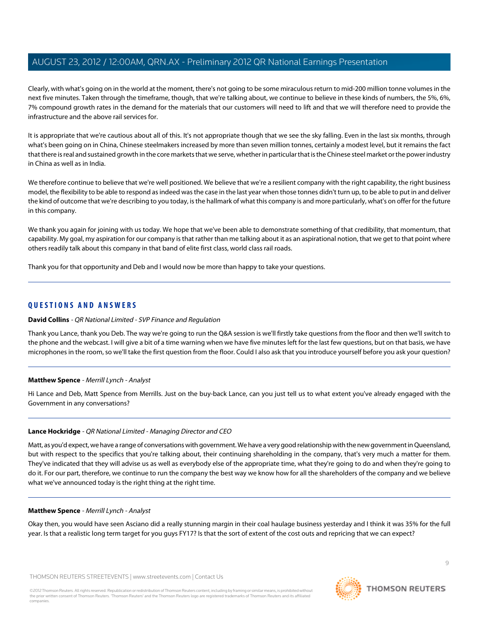Clearly, with what's going on in the world at the moment, there's not going to be some miraculous return to mid-200 million tonne volumes in the next five minutes. Taken through the timeframe, though, that we're talking about, we continue to believe in these kinds of numbers, the 5%, 6%, 7% compound growth rates in the demand for the materials that our customers will need to lift and that we will therefore need to provide the infrastructure and the above rail services for.

It is appropriate that we're cautious about all of this. It's not appropriate though that we see the sky falling. Even in the last six months, through what's been going on in China, Chinese steelmakers increased by more than seven million tonnes, certainly a modest level, but it remains the fact that there is real and sustained growth in the core markets that we serve, whether in particular that is the Chinese steel market or the power industry in China as well as in India.

We therefore continue to believe that we're well positioned. We believe that we're a resilient company with the right capability, the right business model, the flexibility to be able to respond as indeed was the case in the last year when those tonnes didn't turn up, to be able to put in and deliver the kind of outcome that we're describing to you today, is the hallmark of what this company is and more particularly, what's on offer for the future in this company.

We thank you again for joining with us today. We hope that we've been able to demonstrate something of that credibility, that momentum, that capability. My goal, my aspiration for our company is that rather than me talking about it as an aspirational notion, that we get to that point where others readily talk about this company in that band of elite first class, world class rail roads.

Thank you for that opportunity and Deb and I would now be more than happy to take your questions.

# **QUESTIONS AND ANSWERS**

# **David Collins** - QR National Limited - SVP Finance and Regulation

<span id="page-8-0"></span>Thank you Lance, thank you Deb. The way we're going to run the Q&A session is we'll firstly take questions from the floor and then we'll switch to the phone and the webcast. I will give a bit of a time warning when we have five minutes left for the last few questions, but on that basis, we have microphones in the room, so we'll take the first question from the floor. Could I also ask that you introduce yourself before you ask your question?

# **Matthew Spence** - Merrill Lynch - Analyst

Hi Lance and Deb, Matt Spence from Merrills. Just on the buy-back Lance, can you just tell us to what extent you've already engaged with the Government in any conversations?

# **Lance Hockridge** - QR National Limited - Managing Director and CEO

Matt, as you'd expect, we have a range of conversations with government. We have a very good relationship with the new government in Queensland, but with respect to the specifics that you're talking about, their continuing shareholding in the company, that's very much a matter for them. They've indicated that they will advise us as well as everybody else of the appropriate time, what they're going to do and when they're going to do it. For our part, therefore, we continue to run the company the best way we know how for all the shareholders of the company and we believe what we've announced today is the right thing at the right time.

#### **Matthew Spence** - Merrill Lynch - Analyst

Okay then, you would have seen Asciano did a really stunning margin in their coal haulage business yesterday and I think it was 35% for the full year. Is that a realistic long term target for you guys FY17? Is that the sort of extent of the cost outs and repricing that we can expect?

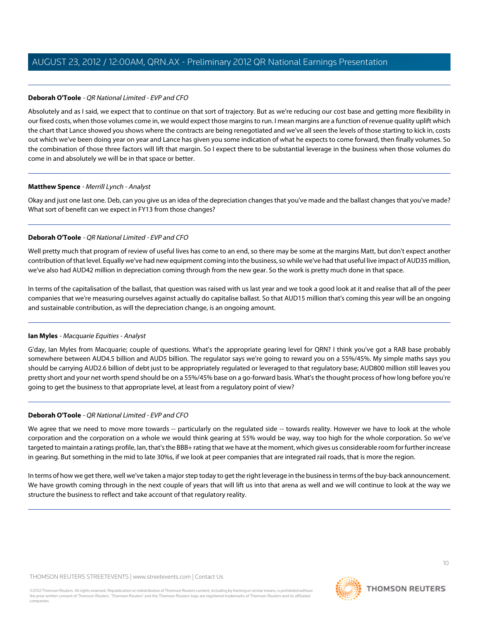# **Deborah O'Toole** - QR National Limited - EVP and CFO

Absolutely and as I said, we expect that to continue on that sort of trajectory. But as we're reducing our cost base and getting more flexibility in our fixed costs, when those volumes come in, we would expect those margins to run. I mean margins are a function of revenue quality uplift which the chart that Lance showed you shows where the contracts are being renegotiated and we've all seen the levels of those starting to kick in, costs out which we've been doing year on year and Lance has given you some indication of what he expects to come forward, then finally volumes. So the combination of those three factors will lift that margin. So I expect there to be substantial leverage in the business when those volumes do come in and absolutely we will be in that space or better.

#### **Matthew Spence** - Merrill Lynch - Analyst

Okay and just one last one. Deb, can you give us an idea of the depreciation changes that you've made and the ballast changes that you've made? What sort of benefit can we expect in FY13 from those changes?

# **Deborah O'Toole** - QR National Limited - EVP and CFO

Well pretty much that program of review of useful lives has come to an end, so there may be some at the margins Matt, but don't expect another contribution of that level. Equally we've had new equipment coming into the business, so while we've had that useful live impact of AUD35 million, we've also had AUD42 million in depreciation coming through from the new gear. So the work is pretty much done in that space.

<span id="page-9-0"></span>In terms of the capitalisation of the ballast, that question was raised with us last year and we took a good look at it and realise that all of the peer companies that we're measuring ourselves against actually do capitalise ballast. So that AUD15 million that's coming this year will be an ongoing and sustainable contribution, as will the depreciation change, is an ongoing amount.

# **Ian Myles** - Macquarie Equities - Analyst

G'day, Ian Myles from Macquarie; couple of questions. What's the appropriate gearing level for QRN? I think you've got a RAB base probably somewhere between AUD4.5 billion and AUD5 billion. The regulator says we're going to reward you on a 55%/45%. My simple maths says you should be carrying AUD2.6 billion of debt just to be appropriately regulated or leveraged to that regulatory base; AUD800 million still leaves you pretty short and your net worth spend should be on a 55%/45% base on a go-forward basis. What's the thought process of how long before you're going to get the business to that appropriate level, at least from a regulatory point of view?

# **Deborah O'Toole** - QR National Limited - EVP and CFO

We agree that we need to move more towards -- particularly on the regulated side -- towards reality. However we have to look at the whole corporation and the corporation on a whole we would think gearing at 55% would be way, way too high for the whole corporation. So we've targeted to maintain a ratings profile, Ian, that's the BBB+ rating that we have at the moment, which gives us considerable room for further increase in gearing. But something in the mid to late 30%s, if we look at peer companies that are integrated rail roads, that is more the region.

In terms of how we get there, well we've taken a major step today to get the right leverage in the business in terms of the buy-back announcement. We have growth coming through in the next couple of years that will lift us into that arena as well and we will continue to look at the way we structure the business to reflect and take account of that regulatory reality.

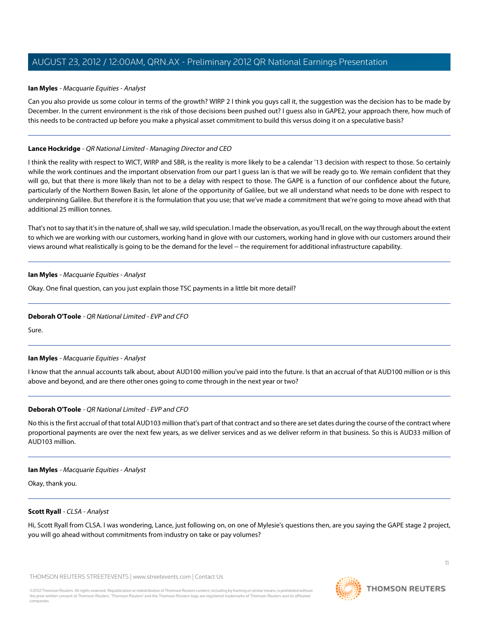#### **Ian Myles** - Macquarie Equities - Analyst

Can you also provide us some colour in terms of the growth? WIRP 2 I think you guys call it, the suggestion was the decision has to be made by December. In the current environment is the risk of those decisions been pushed out? I guess also in GAPE2, your approach there, how much of this needs to be contracted up before you make a physical asset commitment to build this versus doing it on a speculative basis?

#### **Lance Hockridge** - QR National Limited - Managing Director and CEO

I think the reality with respect to WICT, WIRP and SBR, is the reality is more likely to be a calendar '13 decision with respect to those. So certainly while the work continues and the important observation from our part I guess Ian is that we will be ready go to. We remain confident that they will go, but that there is more likely than not to be a delay with respect to those. The GAPE is a function of our confidence about the future, particularly of the Northern Bowen Basin, let alone of the opportunity of Galilee, but we all understand what needs to be done with respect to underpinning Galilee. But therefore it is the formulation that you use; that we've made a commitment that we're going to move ahead with that additional 25 million tonnes.

That's not to say that it's in the nature of, shall we say, wild speculation. I made the observation, as you'll recall, on the way through about the extent to which we are working with our customers, working hand in glove with our customers, working hand in glove with our customers around their views around what realistically is going to be the demand for the level -- the requirement for additional infrastructure capability.

#### **Ian Myles** - Macquarie Equities - Analyst

Okay. One final question, can you just explain those TSC payments in a little bit more detail?

# **Deborah O'Toole** - QR National Limited - EVP and CFO

Sure.

#### **Ian Myles** - Macquarie Equities - Analyst

I know that the annual accounts talk about, about AUD100 million you've paid into the future. Is that an accrual of that AUD100 million or is this above and beyond, and are there other ones going to come through in the next year or two?

# **Deborah O'Toole** - QR National Limited - EVP and CFO

No this is the first accrual of that total AUD103 million that's part of that contract and so there are set dates during the course of the contract where proportional payments are over the next few years, as we deliver services and as we deliver reform in that business. So this is AUD33 million of AUD103 million.

#### <span id="page-10-0"></span>**Ian Myles** - Macquarie Equities - Analyst

Okay, thank you.

#### **Scott Ryall** - CLSA - Analyst

Hi, Scott Ryall from CLSA. I was wondering, Lance, just following on, on one of Mylesie's questions then, are you saying the GAPE stage 2 project, you will go ahead without commitments from industry on take or pay volumes?

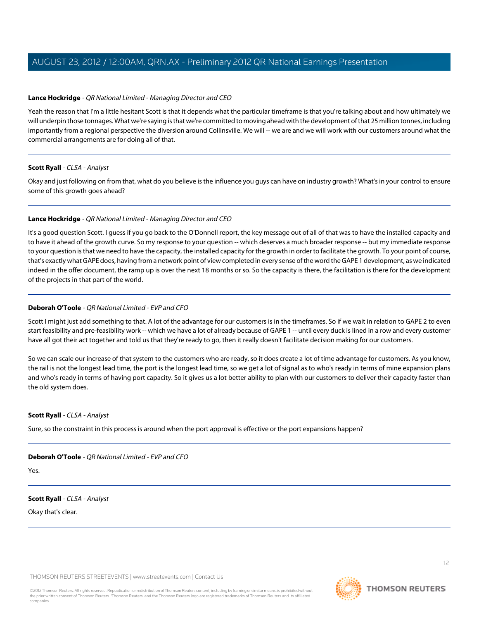## **Lance Hockridge** - QR National Limited - Managing Director and CEO

Yeah the reason that I'm a little hesitant Scott is that it depends what the particular timeframe is that you're talking about and how ultimately we will underpin those tonnages. What we're saying is that we're committed to moving ahead with the development of that 25 million tonnes, including importantly from a regional perspective the diversion around Collinsville. We will -- we are and we will work with our customers around what the commercial arrangements are for doing all of that.

#### **Scott Ryall** - CLSA - Analyst

Okay and just following on from that, what do you believe is the influence you guys can have on industry growth? What's in your control to ensure some of this growth goes ahead?

#### **Lance Hockridge** - QR National Limited - Managing Director and CEO

It's a good question Scott. I guess if you go back to the O'Donnell report, the key message out of all of that was to have the installed capacity and to have it ahead of the growth curve. So my response to your question -- which deserves a much broader response -- but my immediate response to your question is that we need to have the capacity, the installed capacity for the growth in order to facilitate the growth. To your point of course, that's exactly what GAPE does, having from a network point of view completed in every sense of the word the GAPE 1 development, as we indicated indeed in the offer document, the ramp up is over the next 18 months or so. So the capacity is there, the facilitation is there for the development of the projects in that part of the world.

# **Deborah O'Toole** - QR National Limited - EVP and CFO

Scott I might just add something to that. A lot of the advantage for our customers is in the timeframes. So if we wait in relation to GAPE 2 to even start feasibility and pre-feasibility work -- which we have a lot of already because of GAPE 1 -- until every duck is lined in a row and every customer have all got their act together and told us that they're ready to go, then it really doesn't facilitate decision making for our customers.

So we can scale our increase of that system to the customers who are ready, so it does create a lot of time advantage for customers. As you know, the rail is not the longest lead time, the port is the longest lead time, so we get a lot of signal as to who's ready in terms of mine expansion plans and who's ready in terms of having port capacity. So it gives us a lot better ability to plan with our customers to deliver their capacity faster than the old system does.

#### **Scott Ryall** - CLSA - Analyst

Sure, so the constraint in this process is around when the port approval is effective or the port expansions happen?

# **Deborah O'Toole** - QR National Limited - EVP and CFO

Yes.

# **Scott Ryall** - CLSA - Analyst

Okay that's clear.

THOMSON REUTERS STREETEVENTS | [www.streetevents.com](http://www.streetevents.com) | [Contact Us](http://www010.streetevents.com/contact.asp)

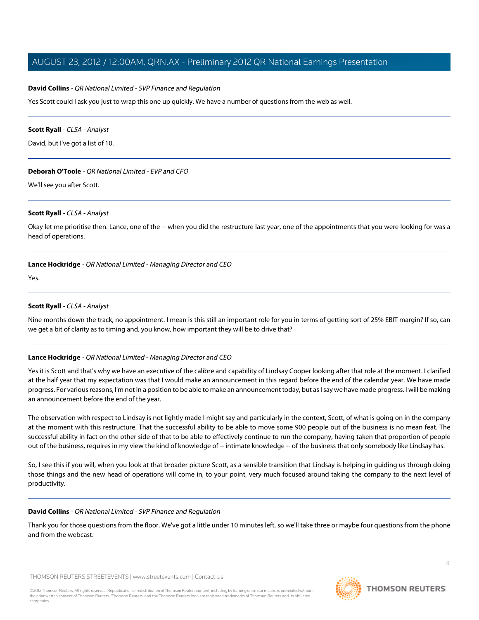## **David Collins** - QR National Limited - SVP Finance and Regulation

Yes Scott could I ask you just to wrap this one up quickly. We have a number of questions from the web as well.

#### **Scott Ryall** - CLSA - Analyst

David, but I've got a list of 10.

#### **Deborah O'Toole** - QR National Limited - EVP and CFO

We'll see you after Scott.

#### **Scott Ryall** - CLSA - Analyst

Okay let me prioritise then. Lance, one of the -- when you did the restructure last year, one of the appointments that you were looking for was a head of operations.

#### **Lance Hockridge** - QR National Limited - Managing Director and CEO

Yes.

# **Scott Ryall** - CLSA - Analyst

Nine months down the track, no appointment. I mean is this still an important role for you in terms of getting sort of 25% EBIT margin? If so, can we get a bit of clarity as to timing and, you know, how important they will be to drive that?

# **Lance Hockridge** - QR National Limited - Managing Director and CEO

Yes it is Scott and that's why we have an executive of the calibre and capability of Lindsay Cooper looking after that role at the moment. I clarified at the half year that my expectation was that I would make an announcement in this regard before the end of the calendar year. We have made progress. For various reasons, I'm not in a position to be able to make an announcement today, but as I say we have made progress. I will be making an announcement before the end of the year.

The observation with respect to Lindsay is not lightly made I might say and particularly in the context, Scott, of what is going on in the company at the moment with this restructure. That the successful ability to be able to move some 900 people out of the business is no mean feat. The successful ability in fact on the other side of that to be able to effectively continue to run the company, having taken that proportion of people out of the business, requires in my view the kind of knowledge of -- intimate knowledge -- of the business that only somebody like Lindsay has.

So, I see this if you will, when you look at that broader picture Scott, as a sensible transition that Lindsay is helping in guiding us through doing those things and the new head of operations will come in, to your point, very much focused around taking the company to the next level of productivity.

#### **David Collins** - QR National Limited - SVP Finance and Regulation

Thank you for those questions from the floor. We've got a little under 10 minutes left, so we'll take three or maybe four questions from the phone and from the webcast.

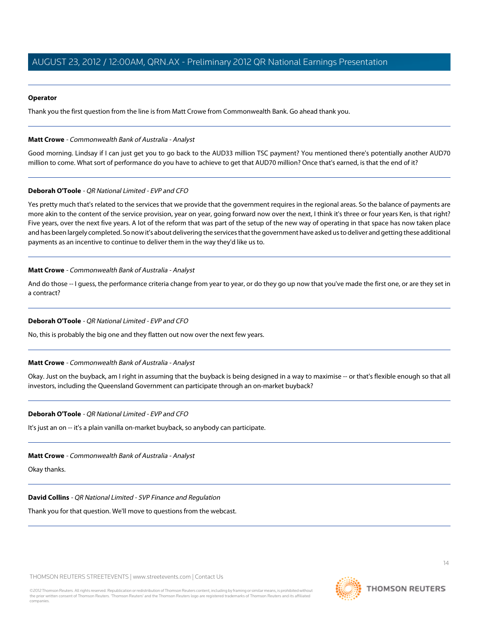#### **Operator**

Thank you the first question from the line is from Matt Crowe from Commonwealth Bank. Go ahead thank you.

#### <span id="page-13-0"></span>**Matt Crowe** - Commonwealth Bank of Australia - Analyst

Good morning. Lindsay if I can just get you to go back to the AUD33 million TSC payment? You mentioned there's potentially another AUD70 million to come. What sort of performance do you have to achieve to get that AUD70 million? Once that's earned, is that the end of it?

#### **Deborah O'Toole** - QR National Limited - EVP and CFO

Yes pretty much that's related to the services that we provide that the government requires in the regional areas. So the balance of payments are more akin to the content of the service provision, year on year, going forward now over the next, I think it's three or four years Ken, is that right? Five years, over the next five years. A lot of the reform that was part of the setup of the new way of operating in that space has now taken place and has been largely completed. So now it's about delivering the services that the government have asked us to deliver and getting these additional payments as an incentive to continue to deliver them in the way they'd like us to.

#### **Matt Crowe** - Commonwealth Bank of Australia - Analyst

And do those -- I guess, the performance criteria change from year to year, or do they go up now that you've made the first one, or are they set in a contract?

# **Deborah O'Toole** - QR National Limited - EVP and CFO

No, this is probably the big one and they flatten out now over the next few years.

#### **Matt Crowe** - Commonwealth Bank of Australia - Analyst

Okay. Just on the buyback, am I right in assuming that the buyback is being designed in a way to maximise -- or that's flexible enough so that all investors, including the Queensland Government can participate through an on-market buyback?

#### **Deborah O'Toole** - QR National Limited - EVP and CFO

It's just an on -- it's a plain vanilla on-market buyback, so anybody can participate.

#### **Matt Crowe** - Commonwealth Bank of Australia - Analyst

Okay thanks.

#### **David Collins** - QR National Limited - SVP Finance and Regulation

Thank you for that question. We'll move to questions from the webcast.

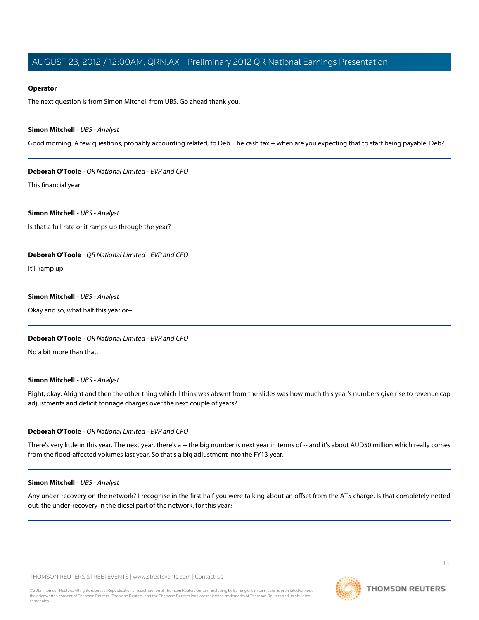#### **Operator**

The next question is from Simon Mitchell from UBS. Go ahead thank you.

#### <span id="page-14-0"></span>**Simon Mitchell** - UBS - Analyst

Good morning. A few questions, probably accounting related, to Deb. The cash tax -- when are you expecting that to start being payable, Deb?

#### **Deborah O'Toole** - QR National Limited - EVP and CFO

This financial year.

#### **Simon Mitchell** - UBS - Analyst

Is that a full rate or it ramps up through the year?

## **Deborah O'Toole** - QR National Limited - EVP and CFO

It'll ramp up.

#### **Simon Mitchell** - UBS - Analyst

Okay and so, what half this year or--

#### **Deborah O'Toole** - QR National Limited - EVP and CFO

No a bit more than that.

#### **Simon Mitchell** - UBS - Analyst

Right, okay. Alright and then the other thing which I think was absent from the slides was how much this year's numbers give rise to revenue cap adjustments and deficit tonnage charges over the next couple of years?

# **Deborah O'Toole** - QR National Limited - EVP and CFO

There's very little in this year. The next year, there's a -- the big number is next year in terms of -- and it's about AUD50 million which really comes from the flood-affected volumes last year. So that's a big adjustment into the FY13 year.

#### **Simon Mitchell** - UBS - Analyst

Any under-recovery on the network? I recognise in the first half you were talking about an offset from the AT5 charge. Is that completely netted out, the under-recovery in the diesel part of the network, for this year?

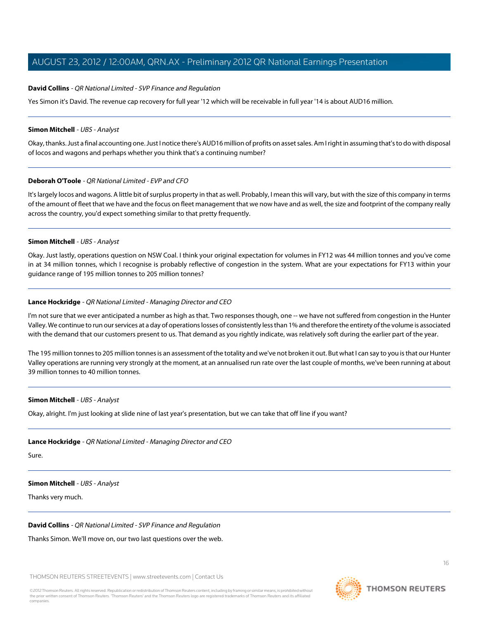#### **David Collins** - QR National Limited - SVP Finance and Regulation

Yes Simon it's David. The revenue cap recovery for full year '12 which will be receivable in full year '14 is about AUD16 million.

#### **Simon Mitchell** - UBS - Analyst

Okay, thanks. Just a final accounting one. Just I notice there's AUD16 million of profits on asset sales. Am I right in assuming that's to do with disposal of locos and wagons and perhaps whether you think that's a continuing number?

#### **Deborah O'Toole** - QR National Limited - EVP and CFO

It's largely locos and wagons. A little bit of surplus property in that as well. Probably, I mean this will vary, but with the size of this company in terms of the amount of fleet that we have and the focus on fleet management that we now have and as well, the size and footprint of the company really across the country, you'd expect something similar to that pretty frequently.

#### **Simon Mitchell** - UBS - Analyst

Okay. Just lastly, operations question on NSW Coal. I think your original expectation for volumes in FY12 was 44 million tonnes and you've come in at 34 million tonnes, which I recognise is probably reflective of congestion in the system. What are your expectations for FY13 within your guidance range of 195 million tonnes to 205 million tonnes?

#### **Lance Hockridge** - QR National Limited - Managing Director and CEO

I'm not sure that we ever anticipated a number as high as that. Two responses though, one -- we have not suffered from congestion in the Hunter Valley. We continue to run our services at a day of operations losses of consistently less than 1% and therefore the entirety of the volume is associated with the demand that our customers present to us. That demand as you rightly indicate, was relatively soft during the earlier part of the year.

The 195 million tonnes to 205 million tonnes is an assessment of the totality and we've not broken it out. But what I can say to you is that our Hunter Valley operations are running very strongly at the moment, at an annualised run rate over the last couple of months, we've been running at about 39 million tonnes to 40 million tonnes.

#### **Simon Mitchell** - UBS - Analyst

Okay, alright. I'm just looking at slide nine of last year's presentation, but we can take that off line if you want?

#### **Lance Hockridge** - QR National Limited - Managing Director and CEO

Sure.

# **Simon Mitchell** - UBS - Analyst

Thanks very much.

# **David Collins** - QR National Limited - SVP Finance and Regulation

Thanks Simon. We'll move on, our two last questions over the web.

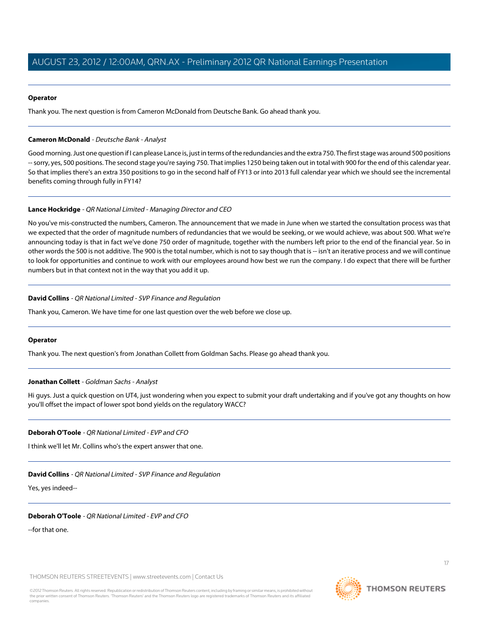#### **Operator**

Thank you. The next question is from Cameron McDonald from Deutsche Bank. Go ahead thank you.

## <span id="page-16-0"></span>**Cameron McDonald** - Deutsche Bank - Analyst

Good morning. Just one question if I can please Lance is, just in terms of the redundancies and the extra 750. The first stage was around 500 positions -- sorry, yes, 500 positions. The second stage you're saying 750. That implies 1250 being taken out in total with 900 for the end of this calendar year. So that implies there's an extra 350 positions to go in the second half of FY13 or into 2013 full calendar year which we should see the incremental benefits coming through fully in FY14?

#### **Lance Hockridge** - QR National Limited - Managing Director and CEO

No you've mis-constructed the numbers, Cameron. The announcement that we made in June when we started the consultation process was that we expected that the order of magnitude numbers of redundancies that we would be seeking, or we would achieve, was about 500. What we're announcing today is that in fact we've done 750 order of magnitude, together with the numbers left prior to the end of the financial year. So in other words the 500 is not additive. The 900 is the total number, which is not to say though that is -- isn't an iterative process and we will continue to look for opportunities and continue to work with our employees around how best we run the company. I do expect that there will be further numbers but in that context not in the way that you add it up.

#### **David Collins** - QR National Limited - SVP Finance and Regulation

Thank you, Cameron. We have time for one last question over the web before we close up.

#### <span id="page-16-1"></span>**Operator**

Thank you. The next question's from Jonathan Collett from Goldman Sachs. Please go ahead thank you.

# **Jonathan Collett** - Goldman Sachs - Analyst

Hi guys. Just a quick question on UT4, just wondering when you expect to submit your draft undertaking and if you've got any thoughts on how you'll offset the impact of lower spot bond yields on the regulatory WACC?

# **Deborah O'Toole** - QR National Limited - EVP and CFO

I think we'll let Mr. Collins who's the expert answer that one.

# **David Collins** - QR National Limited - SVP Finance and Regulation

Yes, yes indeed--

#### **Deborah O'Toole** - QR National Limited - EVP and CFO

--for that one.